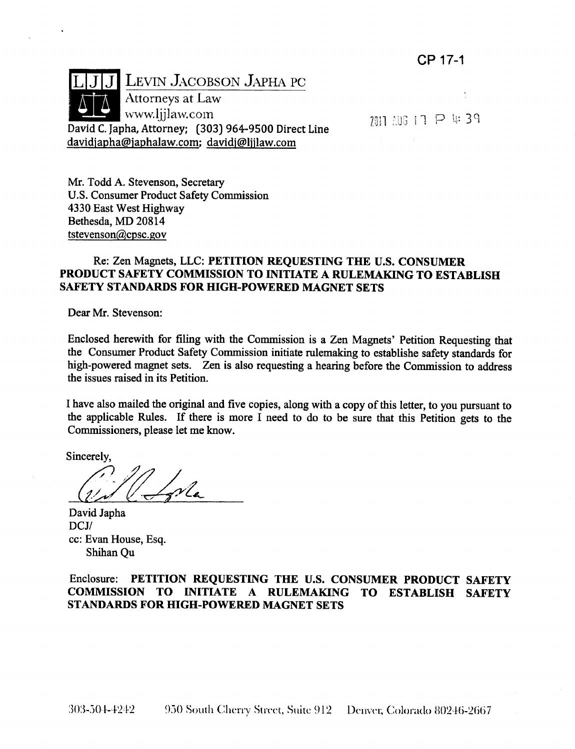

davidjapha@japhalaw.com; davidj@ljjlaw.com

2011 206 17 P 4:39

Mr. Todd A. Stevenson, Secretary U.S. Consumer Product Safety Commission 4330 East West Highway Bethesda, MD 20814 tstevenson@cpsc.gov

### Re: Zen Magnets, LLC: PETITION REQUESTING THE U.S. CONSUMER PRODUCT SAFETY COMMISSION TO INITIATE A RULEMAKING TO ESTABLISH SAFETY STANDARDS FOR HIGH-POWERED MAGNET SETS

Dear Mr. Stevenson:

Enclosed herewith for filing with the Commission is a Zen Magnets' Petition Requesting that the Consumer Product Safety Commission initiate rulemaking to establishe safety standards for high-powered magnet sets. Zen is also requesting a hearing before the Commission to address the issues raised in its Petition.

I have also mailed the original and five copies, along with a copy of this letter, to you pursuant to the applicable Rules. If there is more I need to do to be sure that this Petition gets to the Commissioners, please let me know.

Sincerely,

.<br>vlx

David Japha DCJ/ cc: Evan House, Esq. Shihan Ou

Enclosure: PETITION REQUESTING THE U.S. CONSUMER PRODUCT SAFETY COMMISSION TO INITIATE A RULEMAKING TO ESTABLISH SAFETY STANDARDS FOR HIGH-POWERED MAGNET SETS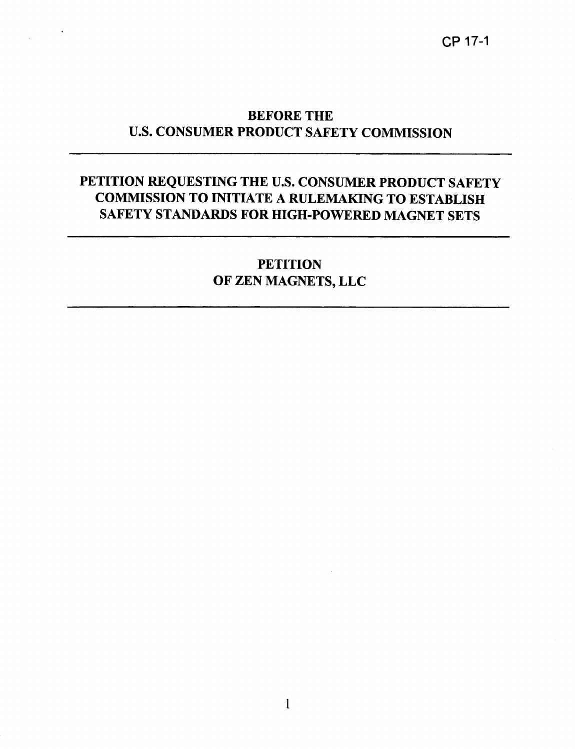$\sim 10^6$ 

# PETITION REQUESTING THE U.S. CONSUMER PRODUCT SAFETY COMMISSION TO INITIATE A RULEMAKING TO ESTABLISH SAFETY STANDARDS FOR HIGH-POWERED MAGNET SETS

# **PETITION** OF ZEN MAGNETS, LLC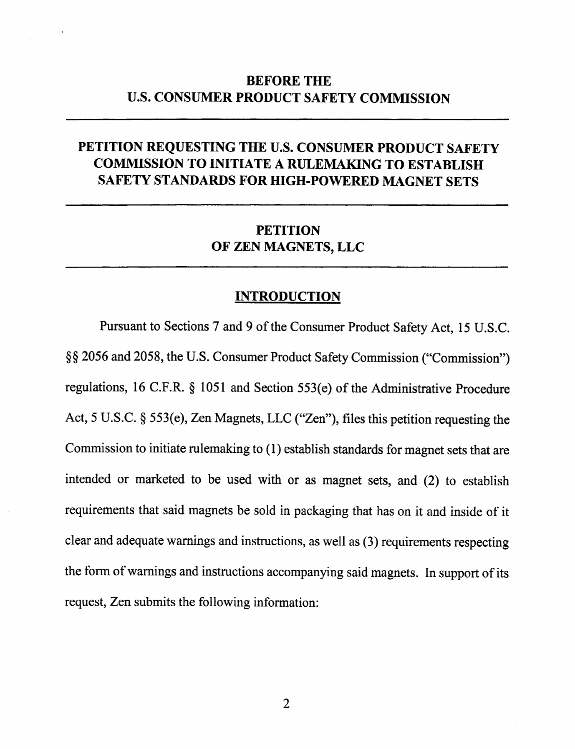# BEFORE THE U.S. CONSUMER PRODUCT SAFETY COMMISSION

# PETITION REQUESTING THE U.S. CONSUMER PRODUCT SAFETY COMMISSION TO INITIATE A RULEMAKING TO ESTABLISH SAFETY STANDARDS FOR HIGH-POWERED MAGNET SETS

# **PETITION** OF ZEN MAGNETS, LLC

#### **INTRODUCTION**

Pursuant to Sections 7 and 9 of the Consumer Product Safety Act, 15 U.S.C. §§ 2056 and 2058, the U.S. Consumer Product Safety Commission ("Commission") regulations, 16 C.F.R. § 1051 and Section 553(e) of the Administrative Procedure Act, 5 U.S.C. § 553(e), Zen Magnets, LLC ("Zen"), files this petition requesting the Commission to initiate rulemaking to ( 1) establish standards for magnet sets that are intended or marketed to be used with or as magnet sets, and (2) to establish requirements that said magnets be sold in packaging that has on it and inside of it clear and adequate warnings and instructions, as well as (3) requirements respecting the form of warnings and instructions accompanying said magnets. In support of its request, Zen submits the following information: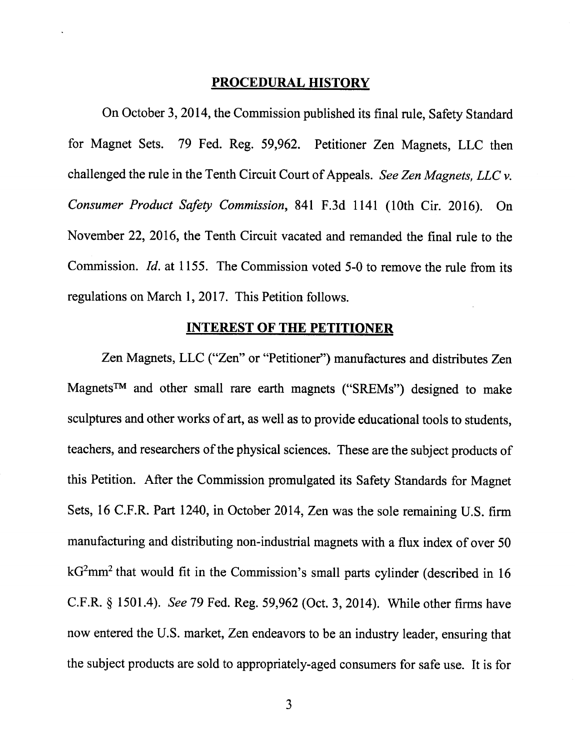#### **PROCEDURAL HISTORY**

On October 3, 2014, the Commission published its final rule, Safety Standard for Magnet Sets. 79 Fed. Reg. 59,962. Petitioner Zen Magnets, LLC then challenged the rule in the Tenth Circuit Court of Appeals. *See Zen Magnets, LLC v. Consumer Product Safety Commission,* 841 F.3d 1141 (lOth Cir. 2016). On November 22, 2016, the Tenth Circuit vacated and remanded the final rule to the Commission. *!d.* at 1155. The Commission voted 5-0 to remove the rule from its regulations on March 1, 2017. This Petition follows.

#### **INTEREST OF THE PETITIONER**

Zen Magnets, LLC ("Zen" or "Petitioner") manufactures and distributes Zen Magnets™ and other small rare earth magnets ("SREMs") designed to make sculptures and other works of art, as well as to provide educational tools to students, teachers, and researchers of the physical sciences. These are the subject products of this Petition. After the Commission promulgated its Safety Standards for Magnet Sets, <sup>16</sup>C.F.R. Part 1240, in October 2014, Zen was the sole remaining U.S. firm manufacturing and distributing non-industrial magnets with a flux index of over 50  $kG<sup>2</sup>mm<sup>2</sup>$  that would fit in the Commission's small parts cylinder (described in 16 C.F.R. § 1501.4). *See* 79 Fed. Reg. 59,962 (Oct. 3, 2014). While other firms have now entered the U.S. market, Zen endeavors to be an industry leader, ensuring that the subject products are sold to appropriately-aged consumers for safe use. It is for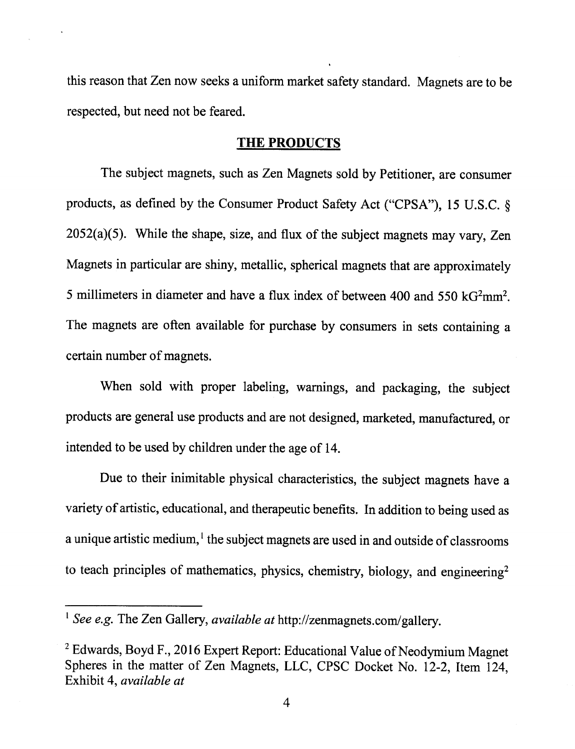this reason that Zen now seeks a uniform market safety standard. Magnets are to be respected, but need not be feared.

### **THE PRODUCTS**

The subject magnets, such as Zen Magnets sold by Petitioner, are consumer products, as defined by the Consumer Product Safety Act ("CPSA"), 15 U.S.C. § 2052(a)(5). While the shape, size, and flux of the subject magnets may vary, Zen Magnets in particular are shiny, metallic, spherical magnets that are approximately 5 millimeters in diameter and have a flux index of between 400 and 550  $kG<sup>2</sup>mm<sup>2</sup>$ . The magnets are often available for purchase by consumers in sets containing a certain number of magnets.

When sold with proper labeling, warnings, and packaging, the subject products are general use products and are not designed, marketed, manufactured, or intended to be used by children under the age of 14.

Due to their inimitable physical characteristics, the subject magnets have a variety of artistic, educational, and therapeutic benefits. In addition to being used as a unique artistic medium,<sup>1</sup> the subject magnets are used in and outside of classrooms to teach principles of mathematics, physics, chemistry, biology, and engineering<sup>2</sup>

<sup>&</sup>lt;sup>1</sup> See e.g. The Zen Gallery, *available at* http://zenmagnets.com/gallery.

<sup>&</sup>lt;sup>2</sup> Edwards, Boyd F., 2016 Expert Report: Educational Value of Neodymium Magnet Spheres in the matter of Zen Magnets, LLC, CPSC Docket No. 12-2, Item 124, Exhibit 4, *available at*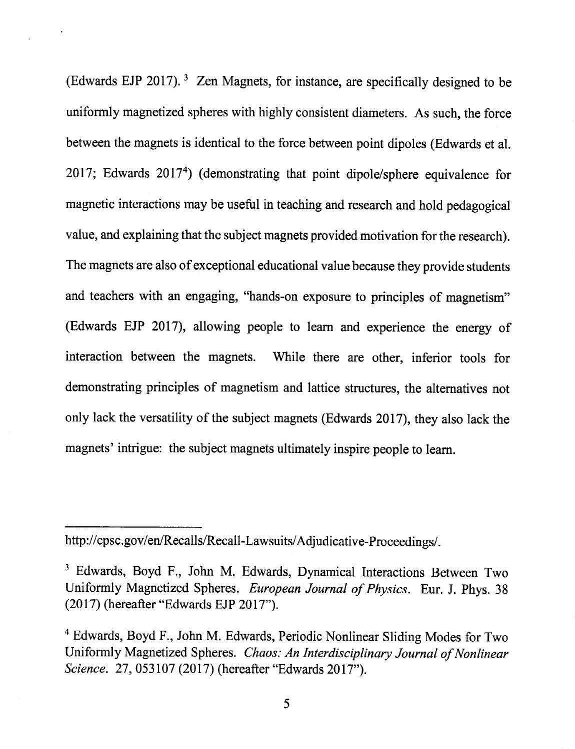(Edwards EJP 2017).<sup>3</sup> Zen Magnets, for instance, are specifically designed to be uniformly magnetized spheres with highly consistent diameters. As such, the force between the magnets is identical to the force between point dipoles (Edwards et al. 2017; Edwards 2017<sup>4</sup> ) (demonstrating that point dipole/sphere equivalence for magnetic interactions may be useful in teaching and research and hold pedagogical value, and explaining that the subject magnets provided motivation for the research). The magnets are also of exceptional educational value because they provide students and teachers with an engaging, "hands-on exposure to principles of magnetism" (Edwards EJP 2017), allowing people to learn and experience the energy of interaction between the magnets. While there are other, inferior tools for demonstrating principles of magnetism and lattice structures, the alternatives not only lack the versatility of the subject magnets (Edwards 2017), they also lack the magnets' intrigue: the subject magnets ultimately inspire people to learn.

http://cpsc.gov/en/Recalls/Recall-Lawsuits/Adjudicative-Proceedings/.

<sup>3</sup> Edwards, Boyd F., John M. Edwards, Dynamical Interactions Between Two Uniformly Magnetized Spheres. *European Journal of Physics.* Eur. J. Phys. 38  $(2017)$  (hereafter "Edwards EJP  $2017$ ").

<sup>&</sup>lt;sup>4</sup> Edwards, Boyd F., John M. Edwards, Periodic Nonlinear Sliding Modes for Two Uniformly Magnetized Spheres. *Chaos: An Interdisciplinary Journal of Nonlinear Science.* 27, 053107 (2017) (hereafter "Edwards 2017").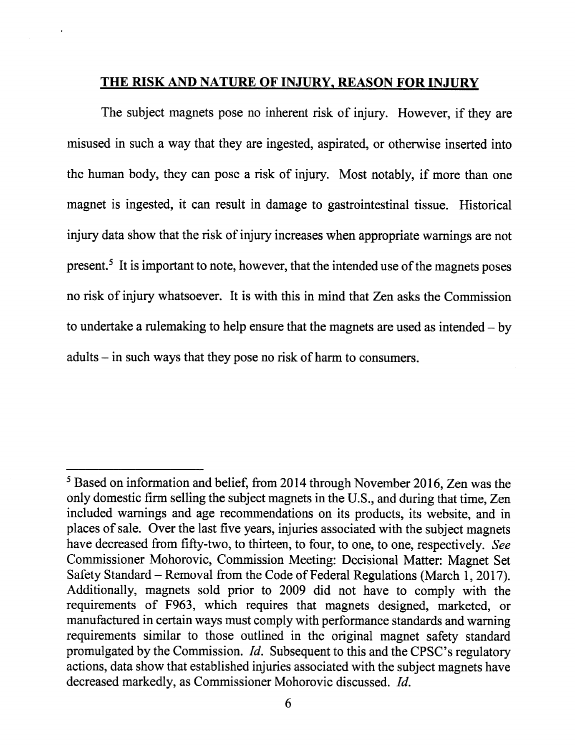# **THE RISK AND NATURE OF INJURY, REASON FOR INJURY**

The subject magnets pose no inherent risk of injury. However, if they are misused in such a way that they are ingested, aspirated, or otherwise inserted into the human body, they can pose a risk of injury. Most notably, if more than one magnet is ingested, it can result in damage to gastrointestinal tissue. Historical injury data show that the risk of injury increases when appropriate warnings are not present.<sup>5</sup> It is important to note, however, that the intended use of the magnets poses no risk of injury whatsoever. It is with this in mind that Zen asks the Commission to undertake a rulemaking to help ensure that the magnets are used as intended  $-$  by adults- in such ways that they pose no risk of harm to consumers.

<sup>&</sup>lt;sup>5</sup> Based on information and belief, from 2014 through November 2016, Zen was the only domestic firm selling the subject magnets in the U.S., and during that time, Zen included warnings and age recommendations on its products, its website, and in places of sale. Over the last five years, injuries associated with the subject magnets have decreased from fifty-two, to thirteen, to four, to one, to one, respectively. *See*  Commissioner Mohorovic, Commission Meeting: Decisional Matter: Magnet Set Safety Standard- Removal from the Code of Federal Regulations (March 1, 2017). Additionally, magnets sold prior to 2009 did not have to comply with the requirements of F963, which requires that magnets designed, marketed, or manufactured in certain ways must comply with performance standards and warning requirements similar to those outlined in the original magnet safety standard promulgated by the Commission. *Id.* Subsequent to this and the CPSC's regulatory actions, data show that established injuries associated with the subject magnets have decreased markedly, as Commissioner Mohorovic discussed. *!d.*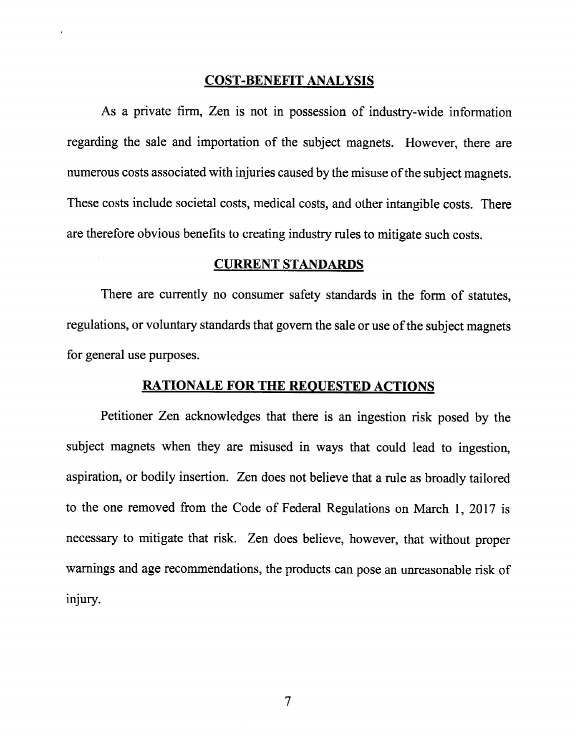### COST-BENEFIT ANALYSIS

As a private firm, Zen is not in possession of industry-wide information regarding the sale and importation of the subject magnets. However, there are numerous costs associated with injuries caused by the misuse of the subject magnets. These costs include societal costs, medical costs, and other intangible costs. There are therefore obvious benefits to creating industry rules to mitigate such costs.

### CURRENT STANDARDS

There are currently no consumer safety standards in the form of statutes, regulations, or voluntary standards that govern the sale or use of the subject magnets for general use purposes.

## RATIONALE FOR THE REQUESTED ACTIONS

Petitioner Zen acknowledges that there is an ingestion risk posed by the subject magnets when they are misused in ways that could lead to ingestion, aspiration, or bodily insertion. Zen does not believe that a rule as broadly tailored to the one removed from the Code of Federal Regulations on March 1, 2017 is necessary to mitigate that risk. Zen does believe, however, that without proper warnings and age recommendations, the products can pose an unreasonable risk of injury.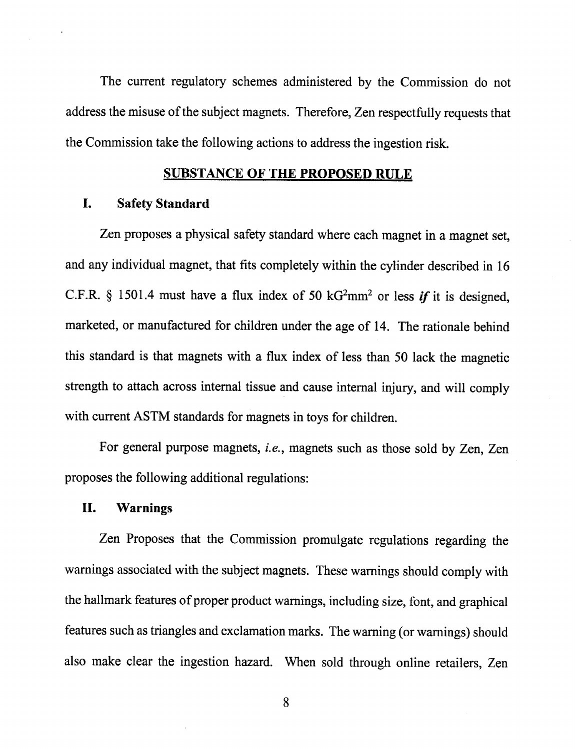The current regulatory schemes administered by the Commission do not address the misuse of the subject magnets. Therefore, Zen respectfully requests that the Commission take the following actions to address the ingestion risk.

## **SUBSTANCE OF THE PROPOSED RULE**

## **I. Safety Standard**

Zen proposes a physical safety standard where each magnet in a magnet set, and any individual magnet, that fits completely within the cylinder described in <sup>16</sup> C.F.R. § 1501.4 must have a flux index of 50  $kG<sup>2</sup>mm<sup>2</sup>$  or less *if* it is designed, marketed, or manufactured for children under the age of 14. The rationale behind this standard is that magnets with a flux index of less than 50 lack the magnetic strength to attach across internal tissue and cause internal injury, and will comply with current ASTM standards for magnets in toys for children.

For general purpose magnets, *i.e.,* magnets such as those sold by Zen, Zen proposes the following additional regulations:

#### **II. Warnings**

Zen Proposes that the Commission promulgate regulations regarding the warnings associated with the subject magnets. These warnings should comply with the hallmark features of proper product warnings, including size, font, and graphical features such as triangles and exclamation marks. The warning (or warnings) should also make clear the ingestion hazard. When sold through online retailers, Zen

8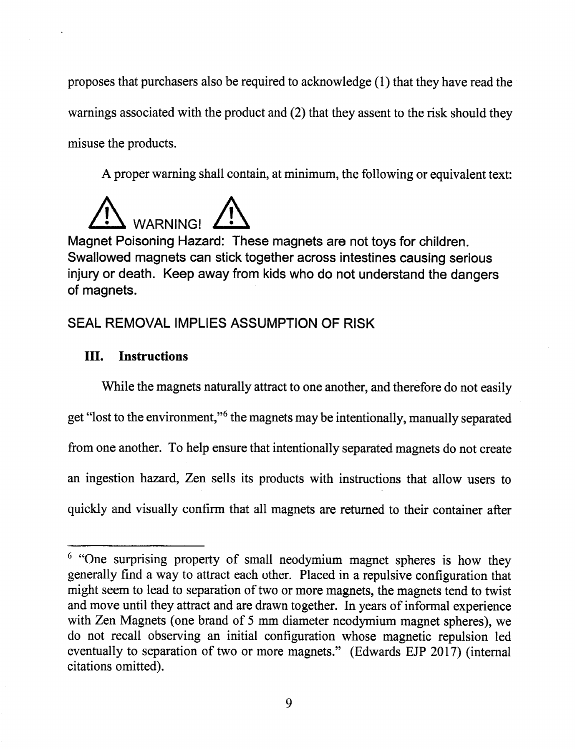proposes that purchasers also be required to acknowledge (1) that they have read the warnings associated with the product and (2) that they assent to the risk should they misuse the products.

A proper warning shall contain, at minimum, the following or equivalent text:



Magnet Poisoning Hazard: These magnets are not toys for children. Swallowed magnets can stick together across intestines causing serious injury or death. Keep away from kids who do not understand the dangers of magnets.

# SEAL REMOVAL IMPLIES ASSUMPTION OF RISK

# III. Instructions

While the magnets naturally attract to one another, and therefore do not easily get "lost to the environment,"<sup>6</sup> the magnets may be intentionally, manually separated from one another. To help ensure that intentionally separated magnets do not create an ingestion hazard, Zen sells its products with instructions that allow users to quickly and visually confirm that all magnets are returned to their container after

<sup>&</sup>lt;sup>6</sup> "One surprising property of small neodymium magnet spheres is how they generally find a way to attract each other. Placed in a repulsive configuration that might seem to lead to separation of two or more magnets, the magnets tend to twist and move until they attract and are drawn together. In years of informal experience with Zen Magnets (one brand of 5 mm diameter neodymium magnet spheres), we do not recall observing an initial configuration whose magnetic repulsion led eventually to separation of two or more magnets." (Edwards EJP 2017) (internal citations omitted).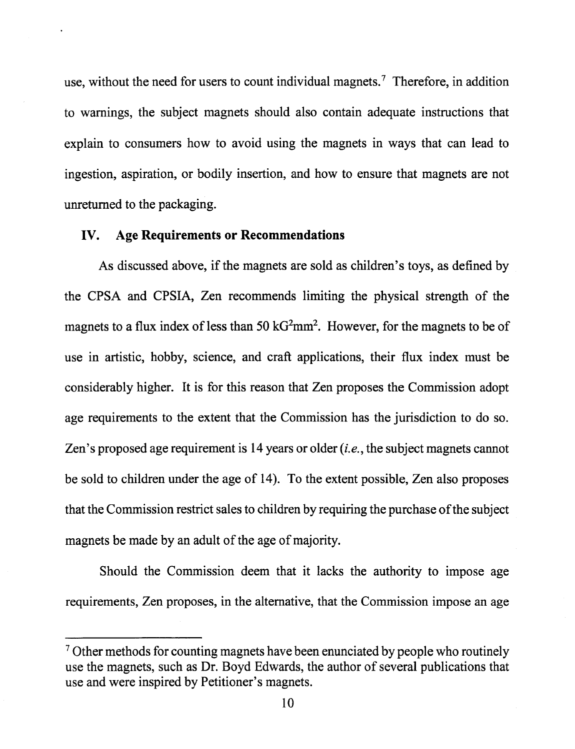use, without the need for users to count individual magnets.<sup>7</sup> Therefore, in addition to warnings, the subject magnets should also contain adequate instructions that explain to consumers how to avoid using the magnets in ways that can lead to ingestion, aspiration, or bodily insertion, and how to ensure that magnets are not unreturned to the packaging.

#### IV. **Age Requirements or Recommendations**

As discussed above, if the magnets are sold as children's toys, as defined by the CPSA and CPSIA, Zen recommends limiting the physical strength of the magnets to a flux index of less than 50  $kG<sup>2</sup>mm<sup>2</sup>$ . However, for the magnets to be of use in artistic, hobby, science, and craft applications, their flux index must be considerably higher. It is for this reason that Zen proposes the Commission adopt age requirements to the extent that the Commission has the jurisdiction to do so. Zen's proposed age requirement is 14 years or older *(i.e.,* the subject magnets cannot be sold to children under the age of 14). To the extent possible, Zen also proposes that the Commission restrict sales to children by requiring the purchase ofthe subject magnets be made by an adult of the age of majority.

Should the Commission deem that it lacks the authority to impose age requirements, Zen proposes, in the alternative, that the Commission impose an age

<sup>&</sup>lt;sup>7</sup> Other methods for counting magnets have been enunciated by people who routinely use the magnets, such as Dr. Boyd Edwards, the author of several publications that use and were inspired by Petitioner's magnets.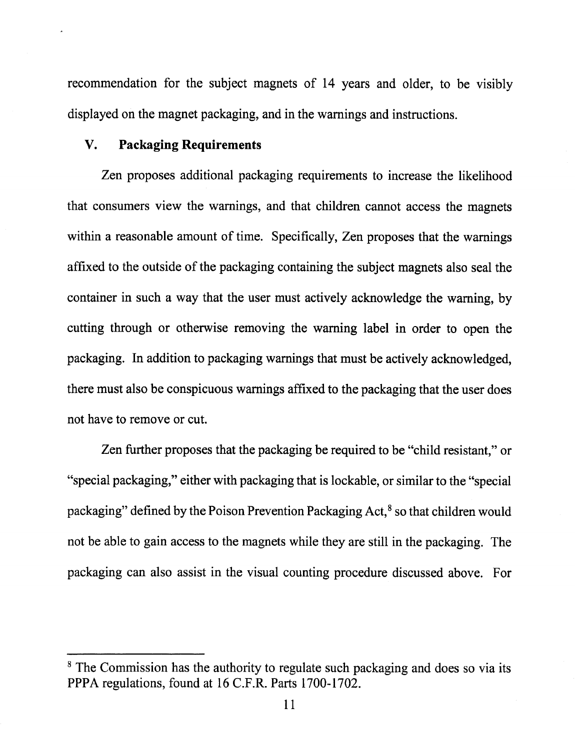recommendation for the subject magnets of 14 years and older, to be visibly displayed on the magnet packaging, and in the warnings and instructions.

## **V. Packaging Requirements**

Zen proposes additional packaging requirements to increase the likelihood that consumers view the warnings, and that children cannot access the magnets within a reasonable amount of time. Specifically, Zen proposes that the warnings affixed to the outside of the packaging containing the subject magnets also seal the container in such a way that the user must actively acknowledge the warning, by cutting through or otherwise removing the warning label in order to open the packaging. In addition to packaging warnings that must be actively acknowledged, there must also be conspicuous warnings affixed to the packaging that the user does not have to remove or cut.

Zen further proposes that the packaging be required to be "child resistant," or "special packaging," either with packaging that is lockable, or similar to the "special packaging" defined by the Poison Prevention Packaging Act,<sup>8</sup> so that children would not be able to gain access to the magnets while they are still in the packaging. The packaging can also assist in the visual counting procedure discussed above. For

<sup>&</sup>lt;sup>8</sup> The Commission has the authority to regulate such packaging and does so via its PPPA regulations, found at 16 C.F.R. Parts 1700-1702.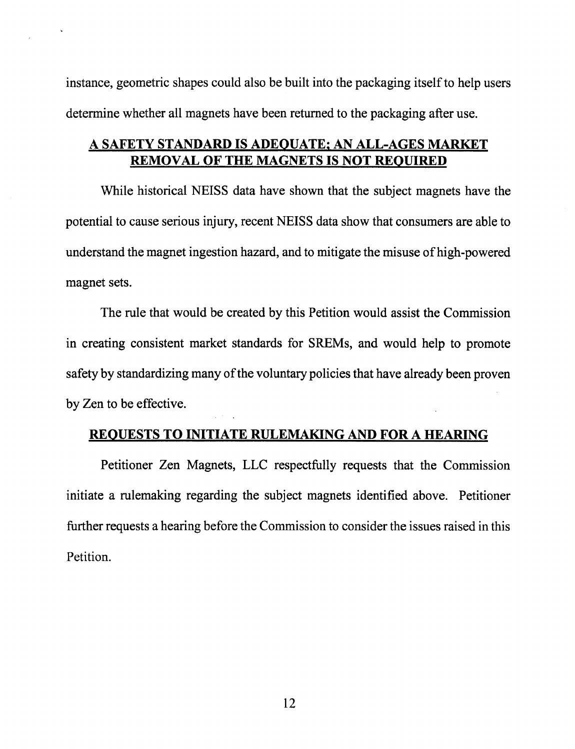instance, geometric shapes could also be built into the packaging itself to help users determine whether all magnets have been returned to the packaging after use.

# A SAFETY STANDARD IS ADEQUATE; AN ALL-AGES MARKET REMOVAL OF THE MAGNETS IS NOT REQUIRED

While historical NEISS data have shown that the subject magnets have the potential to cause serious injury, recent NEISS data show that consumers are able to understand the magnet ingestion hazard, and to mitigate the misuse of high-powered magnet sets.

The rule that would be created by this Petition would assist the Commission in creating consistent market standards for SREMs, and would help to promote safety by standardizing many of the voluntary policies that have already been proven by Zen to be effective.

## REQUESTS TO INITIATE RULEMAKING AND FOR A HEARING

Petitioner Zen Magnets, LLC respectfully requests that the Commission initiate a rulemaking regarding the subject magnets identified above. Petitioner further requests a hearing before the Commission to consider the issues raised in this Petition.

12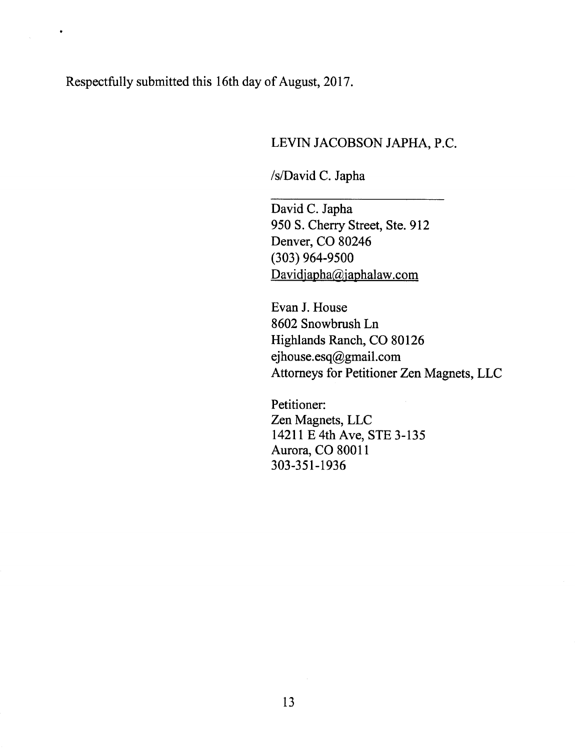Respectfully submitted this 16th day of August, 2017.

 $\bullet$ 

# LEVIN JACOBSON JAPHA, P.C.

/s/David C. Japha

David C. Japha 950 S. Cherry Street, Ste. 912 Denver, CO 80246 (303) 964-9500 Davidjapha@japhalaw.com

Evan J. House 8602 Snowbrush Ln Highlands Ranch, CO 80126 ejhouse.esq@gmail.com Attorneys for Petitioner Zen Magnets, LLC

Petitioner: Zen Magnets, LLC 14211 E 4th Ave, STE 3-135 Aurora, CO 80011 303-351-1936